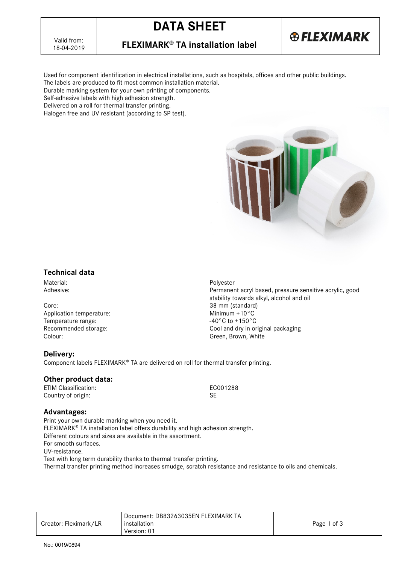# **DATA SHEET**

18-04-2019 **FLEXIMARK® TA installation label**

Used for component identification in electrical installations, such as hospitals, offices and other public buildings. The labels are produced to fit most common installation material.

Durable marking system for your own printing of components.

Self-adhesive labels with high adhesion strength.

Delivered on a roll for thermal transfer printing.

Halogen free and UV resistant (according to SP test).



**®FLEXIMARK** 

### **Technical data**

Material: Contract Material: Polyester<br>
Adhesive: Contract Material: Permaner<br>
Permaner

Core: 38 mm (standard)<br>
Application temperature: Application temperature: Application temperature:  $\frac{38 \text{ mm (standard)}}{2 \text{ cm}}$ Application temperature:<br>
Temperature range:<br>  $-40^{\circ}$ C to +150°C Temperature range: Colour: Colour: Colour: Colour: Colour: Colour: Green, Brown, White

#### **Delivery:**

Component labels FLEXIMARK® TA are delivered on roll for thermal transfer printing.

#### **Other product data:**

ETIM Classification: ECO01288<br>Country of origin: ECO01288 Country of origin:

#### **Advantages:**

Print your own durable marking when you need it. FLEXIMARK<sup>®</sup> TA installation label offers durability and high adhesion strength. Different colours and sizes are available in the assortment. For smooth surfaces. UV-resistance. Text with long term durability thanks to thermal transfer printing. Thermal transfer printing method increases smudge, scratch resistance and resistance to oils and chemicals.

|                       | Document: DB83263035EN FLEXIMARK TA |             |
|-----------------------|-------------------------------------|-------------|
| Creator: Fleximark/LR | installation                        | Page 1 of 3 |
|                       | Version: 01                         |             |

Permanent acryl based, pressure sensitive acrylic, good stability towards alkyl, alcohol and oil Recommended storage: Cool and dry in original packaging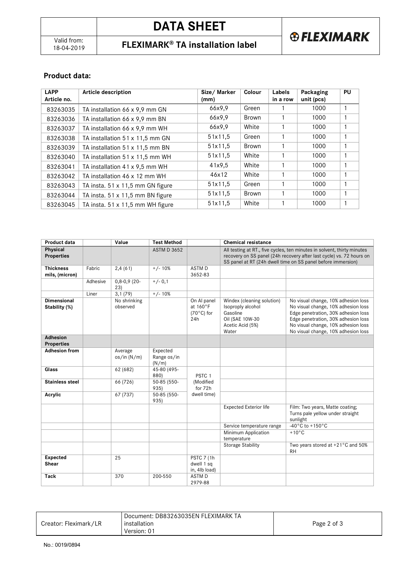18-04-2019 **FLEXIMARK® TA installation label**

## **Product data:**

| <b>LAPP</b><br>Article no. | Article description                     | Size/Marker<br>(mm) | Colour       | Labels<br>in a row | Packaging<br>unit (pcs) | <b>PU</b>    |
|----------------------------|-----------------------------------------|---------------------|--------------|--------------------|-------------------------|--------------|
| 83263035                   | TA installation 66 x 9,9 mm GN          | 66x9,9              | Green        |                    | 1000                    |              |
| 83263036                   | TA installation 66 x 9,9 mm BN          | 66x9.9              | <b>Brown</b> |                    | 1000                    |              |
| 83263037                   | TA installation 66 x 9,9 mm WH          | 66x9,9              | White        |                    | 1000                    |              |
| 83263038                   | TA installation 51 x 11.5 mm GN         | 51x11,5             | Green        |                    | 1000                    | $\mathbf{1}$ |
| 83263039                   | TA installation 51 x 11,5 mm BN         | 51x11,5             | Brown        |                    | 1000                    | $\mathbf{1}$ |
| 83263040                   | TA installation 51 x 11,5 mm WH         | 51x11.5             | White        |                    | 1000                    |              |
| 83263041                   | TA installation 41 x 9,5 mm WH          | 41x9.5              | White        |                    | 1000                    |              |
| 83263042                   | TA installation 46 x 12 mm WH           | 46x12               | White        |                    | 1000                    |              |
| 83263043                   | TA insta. $51 \times 11,5$ mm GN figure | 51x11.5             | Green        |                    | 1000                    |              |
| 83263044                   | TA insta. $51 \times 11,5$ mm BN figure | 51x11.5             | Brown        |                    | 1000                    |              |
| 83263045                   | TA insta. $51 \times 11,5$ mm WH figure | 51x11.5             | White        |                    | 1000                    | 1            |

| Product data                         |          | Value                    | <b>Test Method</b>               |                                                        | <b>Chemical resistance</b>                                                                                                                                                                                      |                                                                                                                                                                                                                                        |
|--------------------------------------|----------|--------------------------|----------------------------------|--------------------------------------------------------|-----------------------------------------------------------------------------------------------------------------------------------------------------------------------------------------------------------------|----------------------------------------------------------------------------------------------------------------------------------------------------------------------------------------------------------------------------------------|
| Physical<br><b>Properties</b>        |          |                          | <b>ASTM D 3652</b>               |                                                        | All testing at RT., five cycles, ten minutes in solvent, thirty minutes<br>recovery on SS panel (24h recovery after last cycle) vs. 72 hours on<br>SS panel at RT (24h dwell time on SS panel before immersion) |                                                                                                                                                                                                                                        |
| <b>Thickness</b><br>mils, (micron)   | Fabric   | 2,4(61)                  | $+/- 10%$                        | <b>ASTMD</b><br>3652-83                                |                                                                                                                                                                                                                 |                                                                                                                                                                                                                                        |
|                                      | Adhesive | $0,8-0,9(20-$<br>23)     | $+/- 0.1$                        |                                                        |                                                                                                                                                                                                                 |                                                                                                                                                                                                                                        |
|                                      | Liner    | 3,1(79)                  | $+/- 10%$                        |                                                        |                                                                                                                                                                                                                 |                                                                                                                                                                                                                                        |
| <b>Dimensional</b><br>Stability (%)  |          | No shrinking<br>observed |                                  | On Al panel<br>at 160°F<br>$(70^{\circ}$ C) for<br>24h | Windex (cleaning solution)<br>Isoproply alcohol<br>Gasoline<br>Oil (SAE 10W-30<br>Acetic Acid (5%)<br>Water                                                                                                     | No visual change, 10% adhesion loss<br>No visual change, 10% adhesion loss<br>Edge penetration, 30% adhesion loss<br>Edge penetration, 30% adhesion loss<br>No visual change, 10% adhesion loss<br>No visual change, 10% adhesion loss |
| <b>Adhesion</b><br><b>Properties</b> |          |                          |                                  |                                                        |                                                                                                                                                                                                                 |                                                                                                                                                                                                                                        |
| <b>Adhesion from</b>                 |          | Average<br>os/in (N/m)   | Expected<br>Range os/in<br>(N/m) |                                                        |                                                                                                                                                                                                                 |                                                                                                                                                                                                                                        |
| Glass                                |          | 62 (682)                 | 45-80 (495-<br>880)              | PSTC <sub>1</sub>                                      |                                                                                                                                                                                                                 |                                                                                                                                                                                                                                        |
| <b>Stainless steel</b>               |          | 66 (726)                 | 50-85 (550-<br>935)              | (Modified<br>for 72h                                   |                                                                                                                                                                                                                 |                                                                                                                                                                                                                                        |
| Acrylic                              |          | 67 (737)                 | 50-85 (550-<br>935)              | dwell time)                                            |                                                                                                                                                                                                                 |                                                                                                                                                                                                                                        |
|                                      |          |                          |                                  |                                                        | <b>Expected Exterior life</b>                                                                                                                                                                                   | Film: Two years, Matte coating;<br>Turns pale yellow under straight<br>sunlight                                                                                                                                                        |
|                                      |          |                          |                                  |                                                        | Service temperature range                                                                                                                                                                                       | $-40^{\circ}$ C to +150 $^{\circ}$ C                                                                                                                                                                                                   |
|                                      |          |                          |                                  |                                                        | Minimum Application<br>temperature                                                                                                                                                                              | $+10^{\circ}$ C                                                                                                                                                                                                                        |
|                                      |          |                          |                                  |                                                        | <b>Storage Stability</b>                                                                                                                                                                                        | Two years stored at +21°C and 50%<br><b>RH</b>                                                                                                                                                                                         |
| <b>Expected</b><br>Shear             |          | 25                       |                                  | <b>PSTC 7 (1h)</b><br>dwell 1 sq<br>in, 4lb load)      |                                                                                                                                                                                                                 |                                                                                                                                                                                                                                        |
| <b>Tack</b>                          |          | 370                      | 200-550                          | <b>ASTMD</b><br>2979-88                                |                                                                                                                                                                                                                 |                                                                                                                                                                                                                                        |

|                       | Document: DB83263035EN FLEXIMARK TA |             |
|-----------------------|-------------------------------------|-------------|
| Creator: Fleximark/LR | installation                        | Page 2 of 3 |
|                       | Version: 01                         |             |